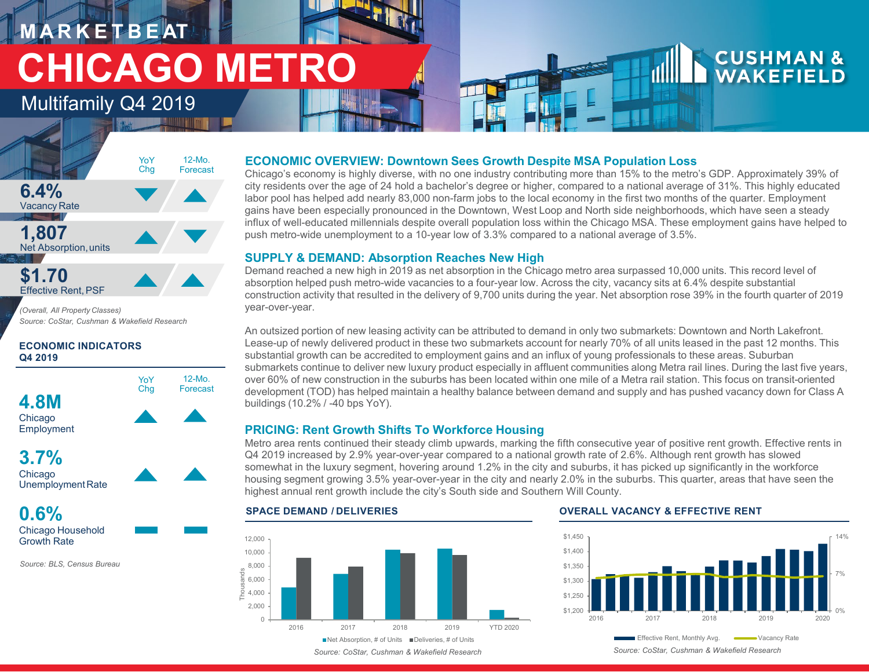# **M A R K E T B E AT CHICAGO METRO**

### Multifamily Q4 2019



*(Overall, All Property Classes) Source: CoStar, Cushman & Wakefield Research* 

#### **ECONOMIC INDICATORS Q4 2019**





**0.6%**

Chicago Household Growth Rate

*Source: BLS, Census Bureau* 

#### **ECONOMIC OVERVIEW: Downtown Sees Growth Despite MSA Population Loss**

Chicago's economy is highly diverse, with no one industry contributing more than 15% to the metro's GDP. Approximately 39% of city residents over the age of 24 hold a bachelor's degree or higher, compared to a national average of 31%. This highly educated labor pool has helped add nearly 83,000 non-farm jobs to the local economy in the first two months of the quarter. Employment gains have been especially pronounced in the Downtown, West Loop and North side neighborhoods, which have seen a steady influx of well-educated millennials despite overall population loss within the Chicago MSA. These employment gains have helped to push metro-wide unemployment to a 10-year low of 3.3% compared to a national average of 3.5%.

#### **SUPPLY & DEMAND: Absorption Reaches New High**

Demand reached a new high in 2019 as net absorption in the Chicago metro area surpassed 10,000 units. This record level of absorption helped push metro-wide vacancies to a four-year low. Across the city, vacancy sits at 6.4% despite substantial construction activity that resulted in the delivery of 9,700 units during the year. Net absorption rose 39% in the fourth quarter of 2019 year-over-year.

An outsized portion of new leasing activity can be attributed to demand in only two submarkets: Downtown and North Lakefront. Lease-up of newly delivered product in these two submarkets account for nearly 70% of all units leased in the past 12 months. This substantial growth can be accredited to employment gains and an influx of young professionals to these areas. Suburban submarkets continue to deliver new luxury product especially in affluent communities along Metra rail lines. During the last five years, over 60% of new construction in the suburbs has been located within one mile of a Metra rail station. This focus on transit-oriented development (TOD) has helped maintain a healthy balance between demand and supply and has pushed vacancy down for Class A buildings (10.2% / -40 bps YoY).

#### **PRICING: Rent Growth Shifts To Workforce Housing**

Metro area rents continued their steady climb upwards, marking the fifth consecutive year of positive rent growth. Effective rents in Q4 2019 increased by 2.9% year-over-year compared to a national growth rate of 2.6%. Although rent growth has slowed somewhat in the luxury segment, hovering around 1.2% in the city and suburbs, it has picked up significantly in the workforce housing segment growing 3.5% year-over-year in the city and nearly 2.0% in the suburbs. This quarter, areas that have seen the highest annual rent growth include the city's South side and Southern Will County.

#### $\Omega$ 2,000  $\frac{3}{5}$  4,000 6,000 8,000 10,000 12,000 2016 2017 2018 2019 YTD 2020 Thousands  $\blacksquare$  Net Absorption, # of Units  $\blacksquare$  Deliveries, # of Units

#### **SPACE DEMAND / DELIVERIES OVERALL VACANCY & EFFECTIVE RENT**



**CUSHMAN &**<br>WAKEFIELD

*Source: CoStar, Cushman & Wakefield Research Source: CoStar, Cushman & Wakefield Research*